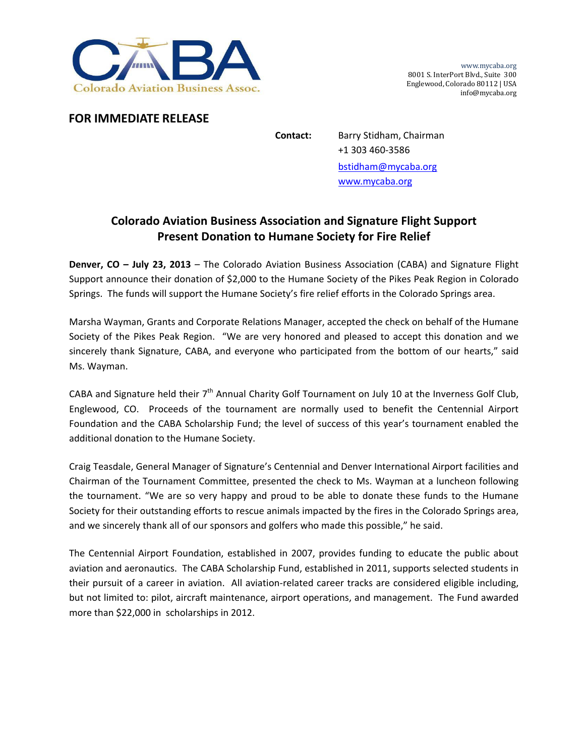

www.mycaba.org 8001 S. InterPort Blvd., Suite 300 Englewood, Colorado 80112 | USA info@mycaba.org

## **FOR IMMEDIATE RELEASE**

**Contact:** Barry Stidham, Chairman +1 303 460‐3586 bstidham@mycaba.org www.mycaba.org

## **Colorado Aviation Business Association and Signature Flight Support Present Donation to Humane Society for Fire Relief**

**Denver, CO – July 23, 2013** – The Colorado Aviation Business Association (CABA) and Signature Flight Support announce their donation of \$2,000 to the Humane Society of the Pikes Peak Region in Colorado Springs. The funds will support the Humane Society's fire relief efforts in the Colorado Springs area.

Marsha Wayman, Grants and Corporate Relations Manager, accepted the check on behalf of the Humane Society of the Pikes Peak Region. "We are very honored and pleased to accept this donation and we sincerely thank Signature, CABA, and everyone who participated from the bottom of our hearts," said Ms. Wayman.

CABA and Signature held their 7<sup>th</sup> Annual Charity Golf Tournament on July 10 at the Inverness Golf Club, Englewood, CO. Proceeds of the tournament are normally used to benefit the Centennial Airport Foundation and the CABA Scholarship Fund; the level of success of this year's tournament enabled the additional donation to the Humane Society.

Craig Teasdale, General Manager of Signature's Centennial and Denver International Airport facilities and Chairman of the Tournament Committee, presented the check to Ms. Wayman at a luncheon following the tournament. "We are so very happy and proud to be able to donate these funds to the Humane Society for their outstanding efforts to rescue animals impacted by the fires in the Colorado Springs area, and we sincerely thank all of our sponsors and golfers who made this possible," he said.

The Centennial Airport Foundation, established in 2007, provides funding to educate the public about aviation and aeronautics. The CABA Scholarship Fund, established in 2011, supports selected students in their pursuit of a career in aviation. All aviation‐related career tracks are considered eligible including, but not limited to: pilot, aircraft maintenance, airport operations, and management. The Fund awarded more than \$22,000 in scholarships in 2012.